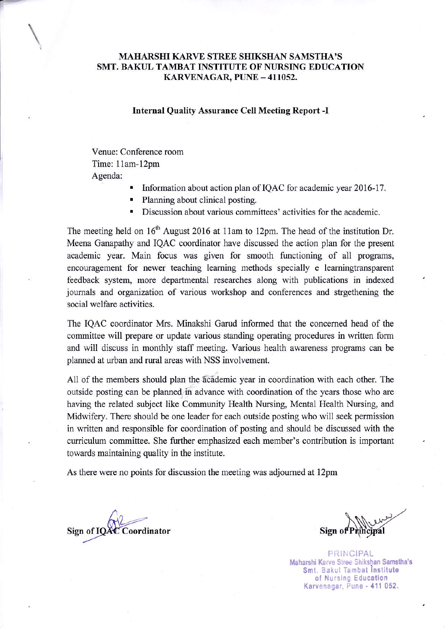## MAHARSHI KARVE STREE SHIKSHAN SAMSTHA'S SMT. BAKUL TAMBAT INSTITUTE OF NURSING EDUCATION  $KARVENAGAR$ ,  $PUNE - 411052$ .

### Internal Quality Assurance Cell Meeting Report -I

Venue: Conference room Time: 11am-12pm Agenda:

- Information about action plan of IQAC for academic year 2016-17.
- Planning about clinical posting.
- Discussion about various committees' activities for the academic.

The meeting held on  $16<sup>th</sup>$  August 2016 at 11am to 12pm. The head of the institution Dr. Meena Ganapathy and IQAC coordinator have discussed the action plan for the present academic year. Main focus was given for smooth functioning of all programs, encouragement for newer teaching leaming methods specially e leamingtransparent feedback system, more departmental researches along with publications in indexed journals and orgaaization of various workshop and conferences and strgethening the social welfare activities.

The IQAC coordinator Mrs. Minakshi Garud informed that the concerned head of the committee will prepare or update various standing operating procedures in written form and will discuss in monthly staff meeting. Various health awareness programs can be planned at urban and rural areas with NSS involvement.

All of the members should plan the academic year in coordination with each other. The outside posting can be planned in advance with coordination of the years those who are having the rclated subject like Community Health Nursing, Mental Health Nusing, and Midwifery. There should be one leader for each outside posting who will seek permission in written and responsible for coordination of posting and should be discussed with the curriculum committee. She further emphasized each member's contribution is important towards maintaining quality in the institute.

As there were no points for discussion the meeting was adjourned at 12pm

C Coordinator Sign of IQA

 $\mathcal{M}$  $Sign<sub>0</sub>$ 

PRINCIPAL Maharshi Karve Stree Shikshan Samstha's Smt. Bakul Tambat Institute of Nursing Education Karvenagar, Pune - 411 052.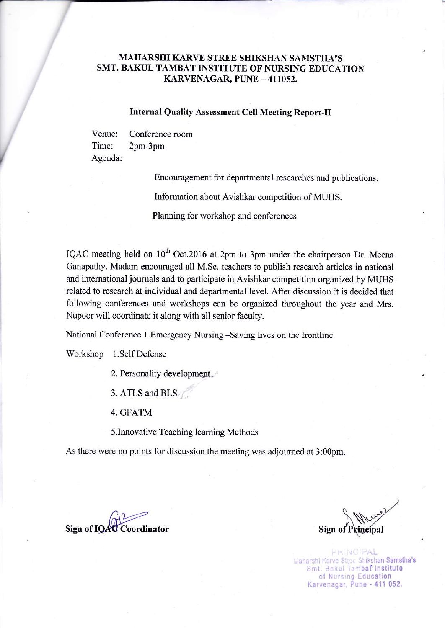## MAIIARSIII KARVE SIREE SHIKSHAN SAMSTHA'S SMT. BAKUL TAMBAT INSTITUTE OF NURSING EDUCATION KARVENAGAR, PUNE - 411052.

## Internal Quality Assessment Cell Meeting Report-Il

Venue: Time: Agenda: Conference room 2pm-3pm

Encouragement for departmental researches and publications.

Information about Avishkar competition of MUHS.

Planning for workshop and conferences

IQAC meeting held on  $10^{th}$  Oct.2016 at 2pm to 3pm under the chairperson Dr. Meena Ganapathy. Madam encouraged all M.Sc. teachers to publish research articles in national and intemational joumals and to participate in Avishkar competition organized by MIIHS related to research at individual and departmental level. After discussion it is decided that following conferences and workshops can be organized throughout the year and Mrs. Nupoor will coordinate it along with all senior faculty.

National Conference l.Emergency Nursing -Saving lives on the frontline

Workshop 1.Self Defense

2. Personality developmept.

3. ATLS and BLS

4, GFATM

s.Innovative Teaching learning Methods

As there were no points for discussion the meeting was adjoumed at 3:00pm.

Sign of IOAC Coordinator

Sign o

PRINCIPAL Maharshi Karve Stree Shikshan Samstha's Smt. Bakul Tambat Institute of Nursing Education Karvenagar, Pune - 411 052.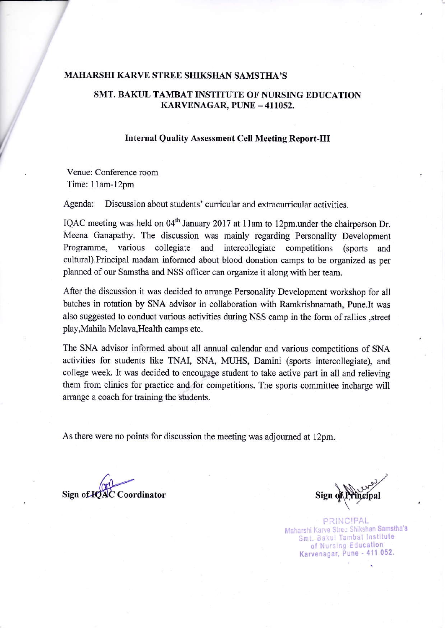#### MAHARSHI KARVE STREE SIIIKSIIAN SAMST}IA'S

# SMT. BAKUL TAMBAT INSTITUTE OF NURSING EDUCATION KARVENAGAR, PUNE - 411052.

### Internal Quality Assessment Cell Meeting Report-III

Venue: Conference room Time: 11am-12pm

Agenda: Discussion about students' curricular and extracurricular activities.

IQAC meeting was held on 04<sup>th</sup> January 2017 at 11am to 12pm.under the chairperson Dr. Meena Ganapathy. The discussion was mainly regarding Personality Development Programme, various collegiate and intercollegiate competitions (sports and cultural).Principal madam informed about blood donation camps to be organized as per planned of our Samstha and NSS officer can organize it along with her team.

After the discussion it was decided to arrange Personality Development workshop for all batches in rotation by SNA advisor in collaboration with Ramkrishnamath, Pune.It was also suggested to conduct various activities during NSS camp in the form ofrallies ,street play,Mahila Melava,Health camps etc.

The SNA advisor informed about all annual calendar and various competitions of SNA activities for students like TNAI, SNA, MUHS, Damini (sports intercollegiate), and college week. It was decided to encourage student to take active part in all and relieving them from clinics for practice and for competitions. The sports committee incharge will arrange a coach for training the students.

As there were no points for discussion the meeting was adjoumed at 12pm.

 $\sqrt{v^2-v^2}$ Sign of **IOAC** Coordinator

PRINCIPAL arshi Karve Stree Shikshan Samstha's Smt. Bakul Tambat Institute of Nursing Education Karvenagar, Pune - 411 052.